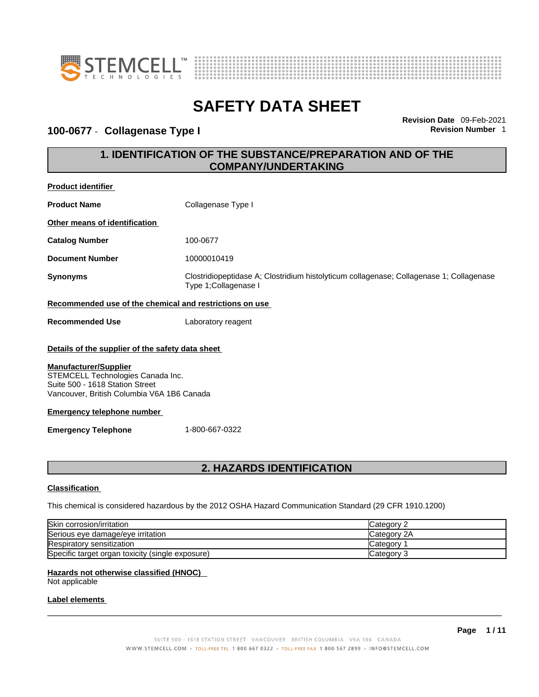



### 100-0677 - Collagenase Type I

**Revision Date** 09-Feb-2021

### **1. IDENTIFICATION OF THE SUBSTANCE/PREPARATION AND OF THE COMPANY/UNDERTAKING**

| Product identifier                                                                                                                                                                                                                                                                          |                                                                                                                  |  |
|---------------------------------------------------------------------------------------------------------------------------------------------------------------------------------------------------------------------------------------------------------------------------------------------|------------------------------------------------------------------------------------------------------------------|--|
| <b>Product Name</b>                                                                                                                                                                                                                                                                         | Collagenase Type I                                                                                               |  |
| Other means of identification                                                                                                                                                                                                                                                               |                                                                                                                  |  |
| <b>Catalog Number</b>                                                                                                                                                                                                                                                                       | 100-0677                                                                                                         |  |
| <b>Document Number</b>                                                                                                                                                                                                                                                                      | 10000010419                                                                                                      |  |
| <b>Synonyms</b>                                                                                                                                                                                                                                                                             | Clostridiopeptidase A; Clostridium histolyticum collagenase; Collagenase 1; Collagenase<br>Type 1; Collagenase I |  |
| Recommended use of the chemical and restrictions on use                                                                                                                                                                                                                                     |                                                                                                                  |  |
| <b>Recommended Use</b>                                                                                                                                                                                                                                                                      | Laboratory reagent                                                                                               |  |
| Details of the supplier of the safety data sheet<br><b>Manufacturer/Supplier</b><br>STEMCELL Technologies Canada Inc.<br>Suite 500 - 1618 Station Street<br>Vancouver, British Columbia V6A 1B6 Canada<br><b>Emergency telephone number</b><br><b>Emergency Telephone</b><br>1-800-667-0322 |                                                                                                                  |  |
| <b>2. HAZARDS IDENTIFICATION</b>                                                                                                                                                                                                                                                            |                                                                                                                  |  |
| <b>Classification</b>                                                                                                                                                                                                                                                                       |                                                                                                                  |  |
| This chemical is considered hazardous by the 2012 OSHA Hazard Communication Standard (29 CFR 1910.1200)                                                                                                                                                                                     |                                                                                                                  |  |
| Skin corrosion/irritation                                                                                                                                                                                                                                                                   | Category 2                                                                                                       |  |
| Serious eye damage/eye irritation                                                                                                                                                                                                                                                           | Category 2A                                                                                                      |  |
| Respiratory sensitization<br>Category 1                                                                                                                                                                                                                                                     |                                                                                                                  |  |
| Specific target organ toxicity (single exposure)                                                                                                                                                                                                                                            | Category 3                                                                                                       |  |
| Hazards not otherwise classified (HNOC)                                                                                                                                                                                                                                                     |                                                                                                                  |  |

Not applicable

#### **Label elements**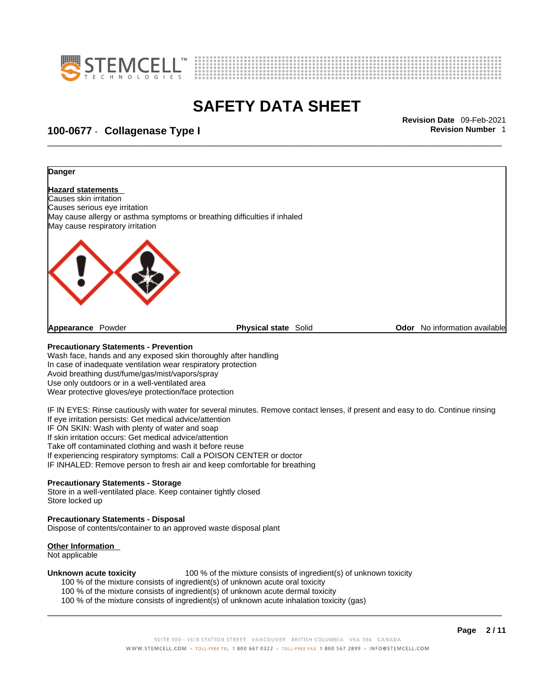



## \_\_\_\_\_\_\_\_\_\_\_\_\_\_\_\_\_\_\_\_\_\_\_\_\_\_\_\_\_\_\_\_\_\_\_\_\_\_\_\_\_\_\_\_\_\_\_\_\_\_\_\_\_\_\_\_\_\_\_\_\_\_\_\_\_\_\_\_\_\_\_\_\_\_\_\_\_\_\_\_\_\_\_\_\_\_\_\_\_\_\_\_\_ **Revision Date** 09-Feb-2021 **100-0677** - **Collagenase Type I Revision Number** 1



Dispose of contents/container to an approved waste disposal plant

#### **Other Information**

Not applicable

**Unknown acute toxicity** 100 % of the mixture consists of ingredient(s) of unknown toxicity

- 100 % of the mixture consists of ingredient(s) of unknown acute oral toxicity
- 100 % of the mixture consists of ingredient(s) of unknown acute dermal toxicity
- 100 % of the mixture consists of ingredient(s) of unknown acute inhalation toxicity (gas)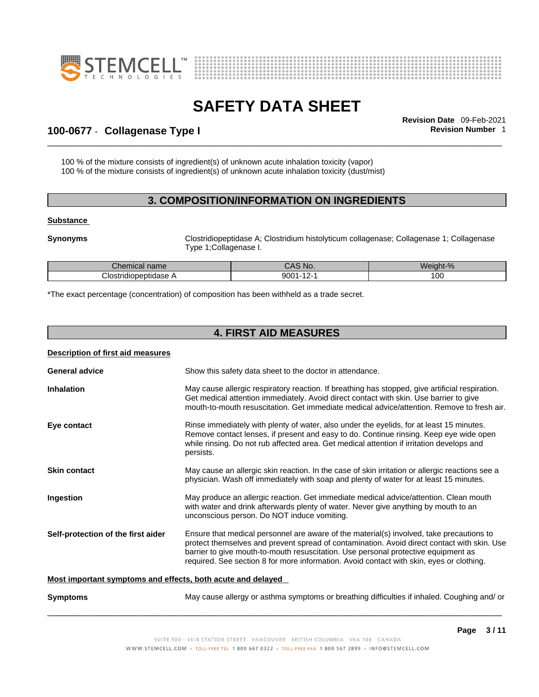



## \_\_\_\_\_\_\_\_\_\_\_\_\_\_\_\_\_\_\_\_\_\_\_\_\_\_\_\_\_\_\_\_\_\_\_\_\_\_\_\_\_\_\_\_\_\_\_\_\_\_\_\_\_\_\_\_\_\_\_\_\_\_\_\_\_\_\_\_\_\_\_\_\_\_\_\_\_\_\_\_\_\_\_\_\_\_\_\_\_\_\_\_\_ **Revision Date** 09-Feb-2021 **100-0677** - **Collagenase Type I Revision Number** 1

100 % of the mixture consists of ingredient(s) of unknown acute inhalation toxicity (vapor) 100 % of the mixture consists of ingredient(s) of unknown acute inhalation toxicity (dust/mist)

### **3. COMPOSITION/INFORMATION ON INGREDIENTS**

#### **Substance**

**Synonyms Clostridiopeptidase A**; Clostridium histolyticum collagenase; Collagenase 1; Collagenase Type 1;Collagenase I.

| <b>Chemical name</b>      | MO.<br>uru         | $\ddot{\phantom{a}}$<br>$\sim$<br>Weight-% |
|---------------------------|--------------------|--------------------------------------------|
| Clostridi<br>liopeptidase | 9001<br>. .<br>. . | $\sim$<br>v                                |

\*The exact percentage (concentration) of composition has been withheld as a trade secret.

### **4. FIRST AID MEASURES**

| Description of first aid measures                           |                                                                                                                                                                                                                                                                                                                                                                           |  |
|-------------------------------------------------------------|---------------------------------------------------------------------------------------------------------------------------------------------------------------------------------------------------------------------------------------------------------------------------------------------------------------------------------------------------------------------------|--|
| <b>General advice</b>                                       | Show this safety data sheet to the doctor in attendance.                                                                                                                                                                                                                                                                                                                  |  |
| <b>Inhalation</b>                                           | May cause allergic respiratory reaction. If breathing has stopped, give artificial respiration.<br>Get medical attention immediately. Avoid direct contact with skin. Use barrier to give<br>mouth-to-mouth resuscitation. Get immediate medical advice/attention. Remove to fresh air.                                                                                   |  |
| Eye contact                                                 | Rinse immediately with plenty of water, also under the eyelids, for at least 15 minutes.<br>Remove contact lenses, if present and easy to do. Continue rinsing. Keep eye wide open<br>while rinsing. Do not rub affected area. Get medical attention if irritation develops and<br>persists.                                                                              |  |
| <b>Skin contact</b>                                         | May cause an allergic skin reaction. In the case of skin irritation or allergic reactions see a<br>physician. Wash off immediately with soap and plenty of water for at least 15 minutes.                                                                                                                                                                                 |  |
| Ingestion                                                   | May produce an allergic reaction. Get immediate medical advice/attention. Clean mouth<br>with water and drink afterwards plenty of water. Never give anything by mouth to an<br>unconscious person. Do NOT induce vomiting.                                                                                                                                               |  |
| Self-protection of the first aider                          | Ensure that medical personnel are aware of the material(s) involved, take precautions to<br>protect themselves and prevent spread of contamination. Avoid direct contact with skin. Use<br>barrier to give mouth-to-mouth resuscitation. Use personal protective equipment as<br>required. See section 8 for more information. Avoid contact with skin, eyes or clothing. |  |
| Most important symptoms and effects, both acute and delayed |                                                                                                                                                                                                                                                                                                                                                                           |  |
| <b>Symptoms</b>                                             | May cause allergy or asthma symptoms or breathing difficulties if inhaled. Coughing and/ or                                                                                                                                                                                                                                                                               |  |
|                                                             |                                                                                                                                                                                                                                                                                                                                                                           |  |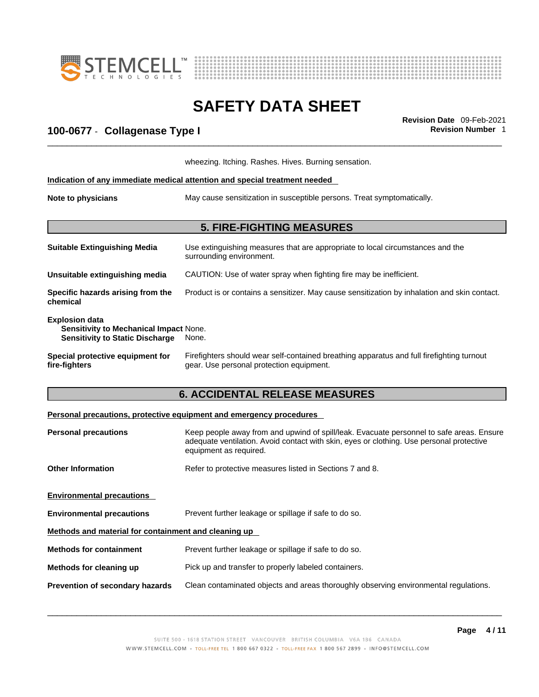



## \_\_\_\_\_\_\_\_\_\_\_\_\_\_\_\_\_\_\_\_\_\_\_\_\_\_\_\_\_\_\_\_\_\_\_\_\_\_\_\_\_\_\_\_\_\_\_\_\_\_\_\_\_\_\_\_\_\_\_\_\_\_\_\_\_\_\_\_\_\_\_\_\_\_\_\_\_\_\_\_\_\_\_\_\_\_\_\_\_\_\_\_\_ **Revision Date** 09-Feb-2021 **100-0677** - **Collagenase Type I Revision Number** 1

|                                                                                                           | wheezing. Itching. Rashes. Hives. Burning sensation.                                                                                  |
|-----------------------------------------------------------------------------------------------------------|---------------------------------------------------------------------------------------------------------------------------------------|
|                                                                                                           | Indication of any immediate medical attention and special treatment needed                                                            |
| Note to physicians                                                                                        | May cause sensitization in susceptible persons. Treat symptomatically.                                                                |
|                                                                                                           | <b>5. FIRE-FIGHTING MEASURES</b>                                                                                                      |
| <b>Suitable Extinguishing Media</b>                                                                       | Use extinguishing measures that are appropriate to local circumstances and the<br>surrounding environment.                            |
| Unsuitable extinguishing media                                                                            | CAUTION: Use of water spray when fighting fire may be inefficient.                                                                    |
| Specific hazards arising from the<br>chemical                                                             | Product is or contains a sensitizer. May cause sensitization by inhalation and skin contact.                                          |
| <b>Explosion data</b><br>Sensitivity to Mechanical Impact None.<br><b>Sensitivity to Static Discharge</b> | None.                                                                                                                                 |
| Special protective equipment for<br>fire-fighters                                                         | Firefighters should wear self-contained breathing apparatus and full firefighting turnout<br>gear. Use personal protection equipment. |

### **6. ACCIDENTAL RELEASE MEASURES**

#### **Personal precautions, protective equipment and emergency procedures**

| <b>Personal precautions</b>                          | Keep people away from and upwind of spill/leak. Evacuate personnel to safe areas. Ensure                           |  |
|------------------------------------------------------|--------------------------------------------------------------------------------------------------------------------|--|
|                                                      | adequate ventilation. Avoid contact with skin, eyes or clothing. Use personal protective<br>equipment as required. |  |
| <b>Other Information</b>                             | Refer to protective measures listed in Sections 7 and 8.                                                           |  |
| <b>Environmental precautions</b>                     |                                                                                                                    |  |
| <b>Environmental precautions</b>                     | Prevent further leakage or spillage if safe to do so.                                                              |  |
| Methods and material for containment and cleaning up |                                                                                                                    |  |
| <b>Methods for containment</b>                       | Prevent further leakage or spillage if safe to do so.                                                              |  |
| Methods for cleaning up                              | Pick up and transfer to properly labeled containers.                                                               |  |
| Prevention of secondary hazards                      | Clean contaminated objects and areas thoroughly observing environmental regulations.                               |  |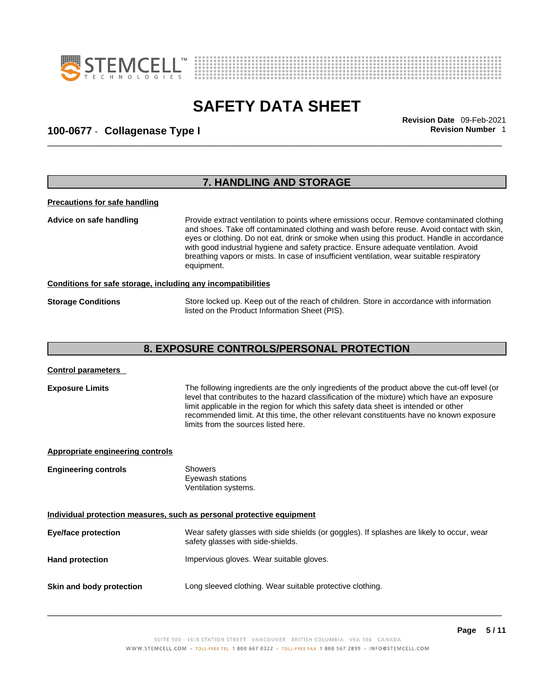



## \_\_\_\_\_\_\_\_\_\_\_\_\_\_\_\_\_\_\_\_\_\_\_\_\_\_\_\_\_\_\_\_\_\_\_\_\_\_\_\_\_\_\_\_\_\_\_\_\_\_\_\_\_\_\_\_\_\_\_\_\_\_\_\_\_\_\_\_\_\_\_\_\_\_\_\_\_\_\_\_\_\_\_\_\_\_\_\_\_\_\_\_\_ **Revision Date** 09-Feb-2021 **100-0677** - **Collagenase Type I Revision Number** 1

|                                      | 7. HANDLING AND STORAGE                                                                                                                                                                                                                                                                                                                                                                                                                                                                 |  |
|--------------------------------------|-----------------------------------------------------------------------------------------------------------------------------------------------------------------------------------------------------------------------------------------------------------------------------------------------------------------------------------------------------------------------------------------------------------------------------------------------------------------------------------------|--|
| <b>Precautions for safe handling</b> |                                                                                                                                                                                                                                                                                                                                                                                                                                                                                         |  |
| Advice on safe handling              | Provide extract ventilation to points where emissions occur. Remove contaminated clothing<br>and shoes. Take off contaminated clothing and wash before reuse. Avoid contact with skin,<br>eyes or clothing. Do not eat, drink or smoke when using this product. Handle in accordance<br>with good industrial hygiene and safety practice. Ensure adequate ventilation. Avoid<br>breathing vapors or mists. In case of insufficient ventilation, wear suitable respiratory<br>equipment. |  |
|                                      | Conditions for safe storage, including any incompatibilities                                                                                                                                                                                                                                                                                                                                                                                                                            |  |
| <b>Storage Conditions</b>            | Store locked up. Keep out of the reach of children. Store in accordance with information<br>listed on the Product Information Sheet (PIS).                                                                                                                                                                                                                                                                                                                                              |  |
|                                      | 8. EXPOSURE CONTROLS/PERSONAL PROTECTION                                                                                                                                                                                                                                                                                                                                                                                                                                                |  |

**Exposure Limits** The following ingredients are the only ingredients of the product above the cut-off level (or level that contributes to the hazard classification of the mixture) which have an exposure limit applicable in the region for which this safety data sheet is intended or other recommended limit. At this time, the other relevant constituents have no known exposure limits from the sources listed here.

| Appropriate engineering controls                                      |                                                                                                                                |  |  |
|-----------------------------------------------------------------------|--------------------------------------------------------------------------------------------------------------------------------|--|--|
| <b>Engineering controls</b>                                           | <b>Showers</b><br>Eyewash stations<br>Ventilation systems.                                                                     |  |  |
| Individual protection measures, such as personal protective equipment |                                                                                                                                |  |  |
| <b>Eye/face protection</b>                                            | Wear safety glasses with side shields (or goggles). If splashes are likely to occur, wear<br>safety glasses with side-shields. |  |  |
| <b>Hand protection</b>                                                | Impervious gloves. Wear suitable gloves.                                                                                       |  |  |
| Skin and body protection                                              | Long sleeved clothing. Wear suitable protective clothing.                                                                      |  |  |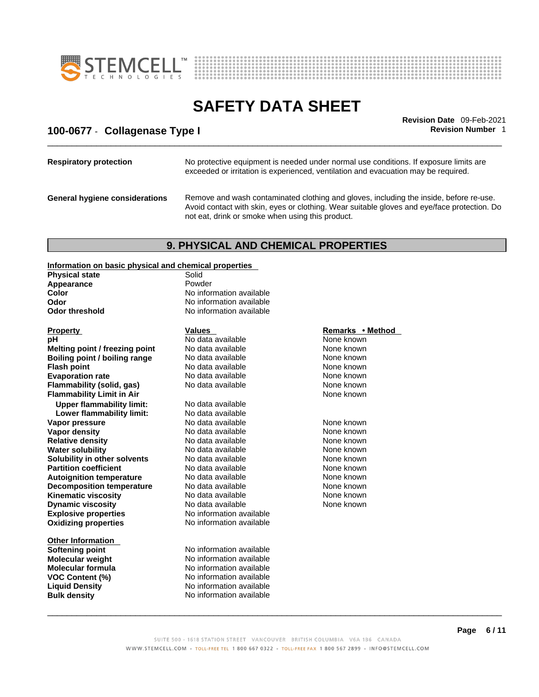



## \_\_\_\_\_\_\_\_\_\_\_\_\_\_\_\_\_\_\_\_\_\_\_\_\_\_\_\_\_\_\_\_\_\_\_\_\_\_\_\_\_\_\_\_\_\_\_\_\_\_\_\_\_\_\_\_\_\_\_\_\_\_\_\_\_\_\_\_\_\_\_\_\_\_\_\_\_\_\_\_\_\_\_\_\_\_\_\_\_\_\_\_\_ **Revision Date** 09-Feb-2021 **100-0677** - **Collagenase Type I Revision Number** 1

| <b>Respiratory protection</b>         | No protective equipment is needed under normal use conditions. If exposure limits are<br>exceeded or irritation is experienced, ventilation and evacuation may be required.                                                               |
|---------------------------------------|-------------------------------------------------------------------------------------------------------------------------------------------------------------------------------------------------------------------------------------------|
| <b>General hygiene considerations</b> | Remove and wash contaminated clothing and gloves, including the inside, before re-use.<br>Avoid contact with skin, eyes or clothing. Wear suitable gloves and eye/face protection. Do<br>not eat, drink or smoke when using this product. |

### **9. PHYSICAL AND CHEMICAL PROPERTIES**

#### **Information on basic physical and chemical properties**

| <b>Physical state</b>            | Solid                    |                  |
|----------------------------------|--------------------------|------------------|
| Appearance                       | Powder                   |                  |
| Color                            | No information available |                  |
| Odor                             | No information available |                  |
| <b>Odor threshold</b>            | No information available |                  |
| <b>Property</b>                  | <b>Values</b>            | Remarks • Method |
| pH                               | No data available        | None known       |
| Melting point / freezing point   | No data available        | None known       |
| Boiling point / boiling range    | No data available        | None known       |
| <b>Flash point</b>               | No data available        | None known       |
| <b>Evaporation rate</b>          | No data available        | None known       |
| Flammability (solid, gas)        | No data available        | None known       |
| <b>Flammability Limit in Air</b> |                          | None known       |
| <b>Upper flammability limit:</b> | No data available        |                  |
| Lower flammability limit:        | No data available        |                  |
| Vapor pressure                   | No data available        | None known       |
| <b>Vapor density</b>             | No data available        | None known       |
| <b>Relative density</b>          | No data available        | None known       |
| <b>Water solubility</b>          | No data available        | None known       |
| Solubility in other solvents     | No data available        | None known       |
| <b>Partition coefficient</b>     | No data available        | None known       |
| <b>Autoignition temperature</b>  | No data available        | None known       |
| <b>Decomposition temperature</b> | No data available        | None known       |
| <b>Kinematic viscosity</b>       | No data available        | None known       |
| <b>Dynamic viscosity</b>         | No data available        | None known       |
| <b>Explosive properties</b>      | No information available |                  |
| <b>Oxidizing properties</b>      | No information available |                  |
| <b>Other Information</b>         |                          |                  |
| Softening point                  | No information available |                  |
| <b>Molecular weight</b>          | No information available |                  |
| <b>Molecular formula</b>         | No information available |                  |
| VOC Content (%)                  | No information available |                  |
| <b>Liquid Density</b>            | No information available |                  |
| <b>Bulk density</b>              | No information available |                  |

#### **Remarks • Method**

 $\_$  ,  $\_$  ,  $\_$  ,  $\_$  ,  $\_$  ,  $\_$  ,  $\_$  ,  $\_$  ,  $\_$  ,  $\_$  ,  $\_$  ,  $\_$  ,  $\_$  ,  $\_$  ,  $\_$  ,  $\_$  ,  $\_$  ,  $\_$  ,  $\_$  ,  $\_$  ,  $\_$  ,  $\_$  ,  $\_$  ,  $\_$  ,  $\_$  ,  $\_$  ,  $\_$  ,  $\_$  ,  $\_$  ,  $\_$  ,  $\_$  ,  $\_$  ,  $\_$  ,  $\_$  ,  $\_$  ,  $\_$  ,  $\_$  ,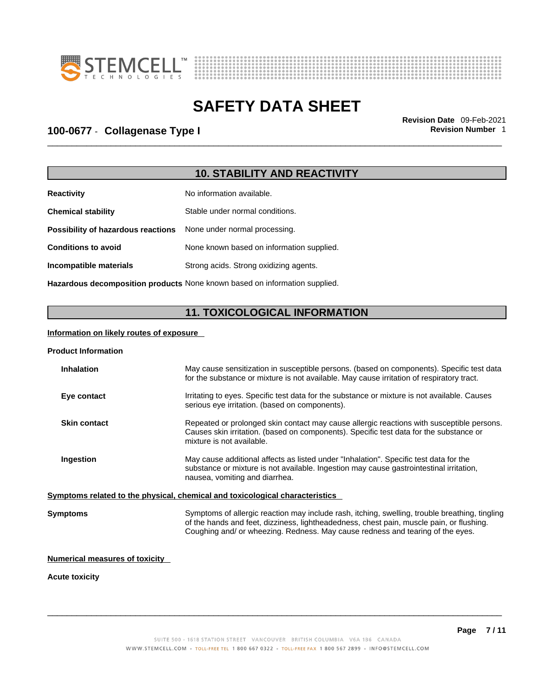



## \_\_\_\_\_\_\_\_\_\_\_\_\_\_\_\_\_\_\_\_\_\_\_\_\_\_\_\_\_\_\_\_\_\_\_\_\_\_\_\_\_\_\_\_\_\_\_\_\_\_\_\_\_\_\_\_\_\_\_\_\_\_\_\_\_\_\_\_\_\_\_\_\_\_\_\_\_\_\_\_\_\_\_\_\_\_\_\_\_\_\_\_\_ **Revision Date** 09-Feb-2021 **100-0677** - **Collagenase Type I Revision Number** 1

### **10. STABILITY AND REACTIVITY**

| <b>Reactivity</b>                  | No information available.                 |
|------------------------------------|-------------------------------------------|
| <b>Chemical stability</b>          | Stable under normal conditions.           |
| Possibility of hazardous reactions | None under normal processing.             |
| <b>Conditions to avoid</b>         | None known based on information supplied. |
| Incompatible materials             | Strong acids. Strong oxidizing agents.    |
|                                    |                                           |

**Hazardous decomposition products** None known based on information supplied.

### **11. TOXICOLOGICAL INFORMATION**

#### **Information on likely routes of exposure**

#### **Product Information**

| May cause sensitization in susceptible persons. (based on components). Specific test data<br>for the substance or mixture is not available. May cause irritation of respiratory tract.                                                                                       |  |  |
|------------------------------------------------------------------------------------------------------------------------------------------------------------------------------------------------------------------------------------------------------------------------------|--|--|
| Irritating to eyes. Specific test data for the substance or mixture is not available. Causes<br>serious eye irritation. (based on components).                                                                                                                               |  |  |
| Repeated or prolonged skin contact may cause allergic reactions with susceptible persons.<br>Causes skin irritation. (based on components). Specific test data for the substance or<br>mixture is not available.                                                             |  |  |
| May cause additional affects as listed under "Inhalation". Specific test data for the<br>substance or mixture is not available. Ingestion may cause gastrointestinal irritation,<br>nausea, vomiting and diarrhea.                                                           |  |  |
| Symptoms related to the physical, chemical and toxicological characteristics                                                                                                                                                                                                 |  |  |
| Symptoms of allergic reaction may include rash, itching, swelling, trouble breathing, tingling<br>of the hands and feet, dizziness, lightheadedness, chest pain, muscle pain, or flushing.<br>Coughing and/ or wheezing. Redness. May cause redness and tearing of the eyes. |  |  |
|                                                                                                                                                                                                                                                                              |  |  |

#### **Numerical measures of toxicity**

#### **Acute toxicity**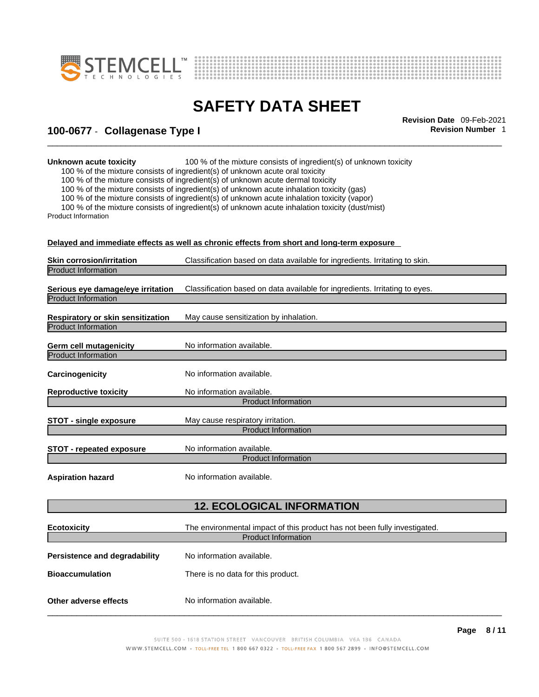



## \_\_\_\_\_\_\_\_\_\_\_\_\_\_\_\_\_\_\_\_\_\_\_\_\_\_\_\_\_\_\_\_\_\_\_\_\_\_\_\_\_\_\_\_\_\_\_\_\_\_\_\_\_\_\_\_\_\_\_\_\_\_\_\_\_\_\_\_\_\_\_\_\_\_\_\_\_\_\_\_\_\_\_\_\_\_\_\_\_\_\_\_\_ **Revision Date** 09-Feb-2021 **100-0677** - **Collagenase Type I Revision Number** 1

**Unknown acute toxicity** 100 % of the mixture consists of ingredient(s) of unknown toxicity

100 % of the mixture consists of ingredient(s) of unknown acute oral toxicity

100 % of the mixture consists of ingredient(s) of unknown acute dermal toxicity

100 % of the mixture consists of ingredient(s) of unknown acute inhalation toxicity (gas)

100 % of the mixture consists of ingredient(s) of unknown acute inhalation toxicity (vapor)

100 % of the mixture consists of ingredient(s) of unknown acute inhalation toxicity (dust/mist) Product Information

**Delayed and immediate effects as well as chronic effects from short and long-term exposure**

|                                                                 | Delayed and immediate effects as well as chronic effects from short and long-term exposure. |
|-----------------------------------------------------------------|---------------------------------------------------------------------------------------------|
| <b>Skin corrosion/irritation</b>                                | Classification based on data available for ingredients. Irritating to skin.                 |
| <b>Product Information</b>                                      |                                                                                             |
|                                                                 |                                                                                             |
| Serious eye damage/eye irritation                               | Classification based on data available for ingredients. Irritating to eyes.                 |
| <b>Product Information</b>                                      |                                                                                             |
|                                                                 |                                                                                             |
| Respiratory or skin sensitization<br><b>Product Information</b> | May cause sensitization by inhalation.                                                      |
|                                                                 |                                                                                             |
| <b>Germ cell mutagenicity</b>                                   | No information available.                                                                   |
| <b>Product Information</b>                                      |                                                                                             |
|                                                                 |                                                                                             |
| Carcinogenicity                                                 | No information available.                                                                   |
|                                                                 |                                                                                             |
| <b>Reproductive toxicity</b>                                    | No information available.                                                                   |
|                                                                 | <b>Product Information</b>                                                                  |
| <b>STOT - single exposure</b>                                   | May cause respiratory irritation.                                                           |
|                                                                 | <b>Product Information</b>                                                                  |
|                                                                 |                                                                                             |
| <b>STOT - repeated exposure</b>                                 | No information available.                                                                   |
|                                                                 | <b>Product Information</b>                                                                  |
|                                                                 |                                                                                             |
| <b>Aspiration hazard</b>                                        | No information available.                                                                   |
|                                                                 |                                                                                             |
|                                                                 | <b>12. ECOLOGICAL INFORMATION</b>                                                           |
|                                                                 |                                                                                             |
| <b>Ecotoxicity</b>                                              | The environmental impact of this product has not been fully investigated.                   |
|                                                                 | <b>Product Information</b>                                                                  |
|                                                                 |                                                                                             |
| Persistence and degradability                                   | No information available.                                                                   |
| <b>Bioaccumulation</b>                                          | There is no data for this product.                                                          |
|                                                                 |                                                                                             |
|                                                                 |                                                                                             |
| Other adverse effects                                           | No information available.                                                                   |
|                                                                 |                                                                                             |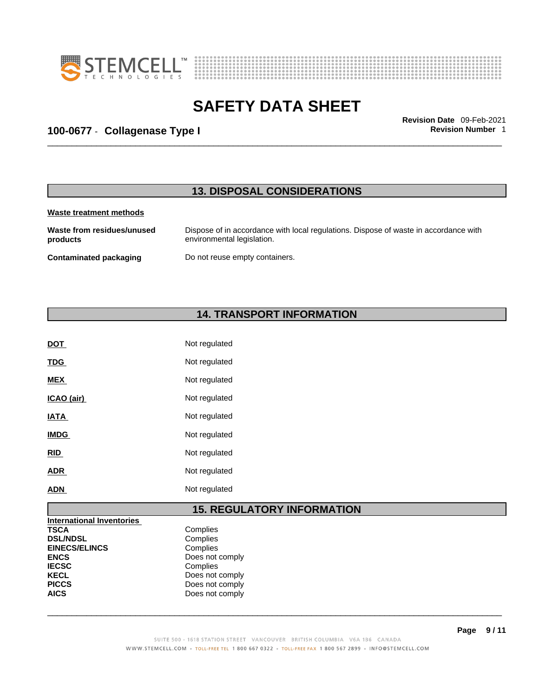



## \_\_\_\_\_\_\_\_\_\_\_\_\_\_\_\_\_\_\_\_\_\_\_\_\_\_\_\_\_\_\_\_\_\_\_\_\_\_\_\_\_\_\_\_\_\_\_\_\_\_\_\_\_\_\_\_\_\_\_\_\_\_\_\_\_\_\_\_\_\_\_\_\_\_\_\_\_\_\_\_\_\_\_\_\_\_\_\_\_\_\_\_\_ **Revision Date** 09-Feb-2021 **100-0677** - **Collagenase Type I Revision Number** 1

### **13. DISPOSAL CONSIDERATIONS**

#### **Waste treatment methods**

**Waste from residues/unused products**  Dispose of in accordance with local regulations. Dispose of waste in accordance with environmental legislation. **Contaminated packaging** Do not reuse empty containers.

### **14. TRANSPORT INFORMATION**

| DOT         | Not regulated |
|-------------|---------------|
| <b>TDG</b>  | Not regulated |
| <b>MEX</b>  | Not regulated |
| ICAO (air)  | Not regulated |
| <b>IATA</b> | Not regulated |
| <b>IMDG</b> | Not regulated |
| <u>RID</u>  | Not regulated |
| <b>ADR</b>  | Not regulated |
| ADN         | Not regulated |
|             |               |

### **15. REGULATORY INFORMATION**

| <b>International Inventories</b> |                 |  |
|----------------------------------|-----------------|--|
| <b>TSCA</b>                      | Complies        |  |
| <b>DSL/NDSL</b>                  | Complies        |  |
| <b>EINECS/ELINCS</b>             | Complies        |  |
| <b>ENCS</b>                      | Does not comply |  |
| <b>IECSC</b>                     | Complies        |  |
| <b>KECL</b>                      | Does not comply |  |
| <b>PICCS</b>                     | Does not comply |  |
| <b>AICS</b>                      | Does not comply |  |
|                                  |                 |  |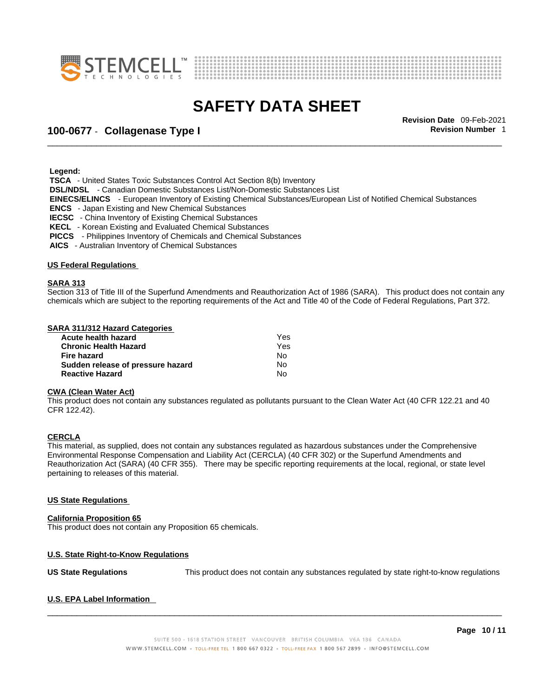



## \_\_\_\_\_\_\_\_\_\_\_\_\_\_\_\_\_\_\_\_\_\_\_\_\_\_\_\_\_\_\_\_\_\_\_\_\_\_\_\_\_\_\_\_\_\_\_\_\_\_\_\_\_\_\_\_\_\_\_\_\_\_\_\_\_\_\_\_\_\_\_\_\_\_\_\_\_\_\_\_\_\_\_\_\_\_\_\_\_\_\_\_\_ **Revision Date** 09-Feb-2021 **100-0677** - **Collagenase Type I Revision Number** 1

 **Legend:** 

 **TSCA** - United States Toxic Substances Control Act Section 8(b) Inventory

 **DSL/NDSL** - Canadian Domestic Substances List/Non-Domestic Substances List

 **EINECS/ELINCS** - European Inventory of Existing Chemical Substances/European List of Notified Chemical Substances

 **ENCS** - Japan Existing and New Chemical Substances

 **IECSC** - China Inventory of Existing Chemical Substances

 **KECL** - Korean Existing and Evaluated Chemical Substances

 **PICCS** - Philippines Inventory of Chemicals and Chemical Substances

 **AICS** - Australian Inventory of Chemical Substances

#### **US Federal Regulations**

#### **SARA 313**

Section 313 of Title III of the Superfund Amendments and Reauthorization Act of 1986 (SARA). This product does not contain any chemicals which are subject to the reporting requirements of the Act and Title 40 of the Code of Federal Regulations, Part 372.

#### **SARA 311/312 Hazard Categories**

| Acute health hazard               | Yes |  |
|-----------------------------------|-----|--|
| <b>Chronic Health Hazard</b>      | Yes |  |
| Fire hazard                       | N٥  |  |
| Sudden release of pressure hazard | N٥  |  |
| <b>Reactive Hazard</b>            | No  |  |

#### **CWA (Clean WaterAct)**

This product does not contain any substances regulated as pollutants pursuant to the Clean Water Act (40 CFR 122.21 and 40 CFR 122.42).

#### **CERCLA**

This material, as supplied, does not contain any substances regulated as hazardous substances under the Comprehensive Environmental Response Compensation and Liability Act (CERCLA) (40 CFR 302) or the Superfund Amendments and Reauthorization Act (SARA) (40 CFR 355). There may be specific reporting requirements at the local, regional, or state level pertaining to releases of this material.

#### **US State Regulations**

#### **California Proposition 65**

This product does not contain any Proposition 65 chemicals.

#### **U.S. State Right-to-Know Regulations**

**US State Regulations** This product does not contain any substances regulated by state right-to-know regulations

#### **U.S. EPA Label Information**